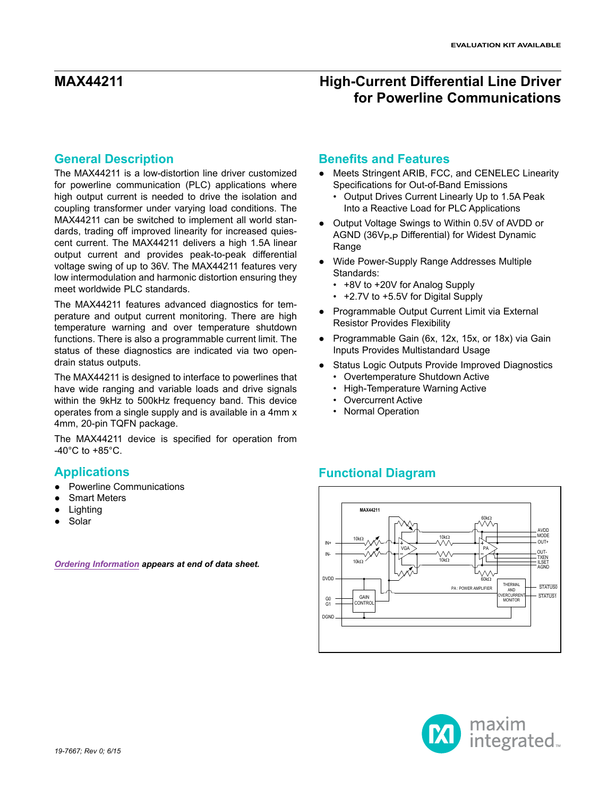### **General Description**

The MAX44211 is a low-distortion line driver customized for powerline communication (PLC) applications where high output current is needed to drive the isolation and coupling transformer under varying load conditions. The MAX44211 can be switched to implement all world standards, trading off improved linearity for increased quiescent current. The MAX44211 delivers a high 1.5A linear output current and provides peak-to-peak differential voltage swing of up to 36V. The MAX44211 features very low intermodulation and harmonic distortion ensuring they meet worldwide PLC standards.

The MAX44211 features advanced diagnostics for temperature and output current monitoring. There are high temperature warning and over temperature shutdown functions. There is also a programmable current limit. The status of these diagnostics are indicated via two opendrain status outputs.

The MAX44211 is designed to interface to powerlines that have wide ranging and variable loads and drive signals within the 9kHz to 500kHz frequency band. This device operates from a single supply and is available in a 4mm x 4mm, 20-pin TQFN package.

The MAX44211 device is specified for operation from  $-40^{\circ}$ C to  $+85^{\circ}$ C.

## **Applications**

- **Powerline Communications**
- **Smart Meters**
- Lighting
- Solar

*[Ordering Information](#page-13-0) appears at end of data sheet.*

### **Benefits and Features**

- Meets Stringent ARIB, FCC, and CENELEC Linearity Specifications for Out-of-Band Emissions
	- Output Drives Current Linearly Up to 1.5A Peak Into a Reactive Load for PLC Applications
- Output Voltage Swings to Within 0.5V of AVDD or AGND (36V<sub>P-P</sub> Differential) for Widest Dynamic **Range**
- Wide Power-Supply Range Addresses Multiple Standards:
	- +8V to +20V for Analog Supply
	- +2.7V to +5.5V for Digital Supply
- Programmable Output Current Limit via External Resistor Provides Flexibility
- Programmable Gain (6x, 12x, 15x, or 18x) via Gain Inputs Provides Multistandard Usage
- Status Logic Outputs Provide Improved Diagnostics
	- Overtemperature Shutdown Active
	- High-Temperature Warning Active
	- Overcurrent Active
	- Normal Operation

## **Functional Diagram**



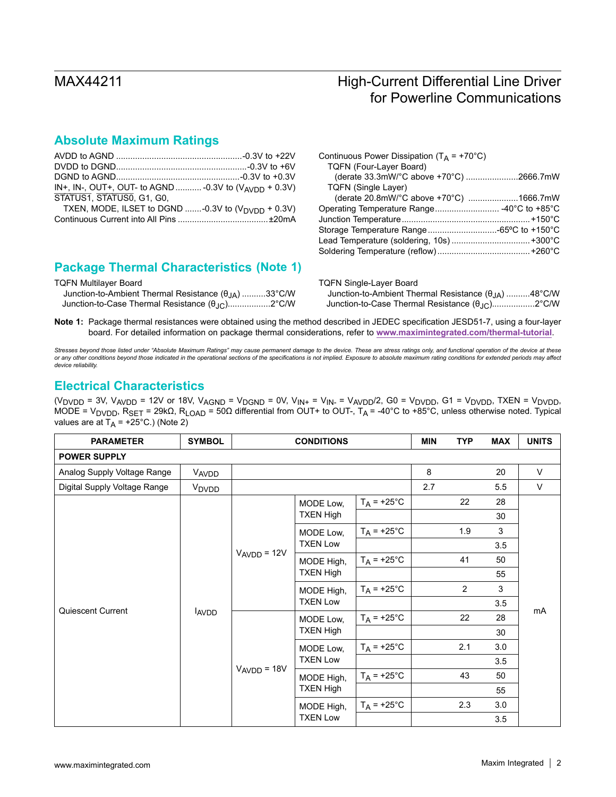### **Absolute Maximum Ratings**

| IN+, IN-, OUT+, OUT- to AGND  -0.3V to $(V_{AVDD} + 0.3V)$    |  |
|---------------------------------------------------------------|--|
| STATUS1, STATUS0, G1, G0,                                     |  |
| TXEN, MODE, ILSET to DGND -0.3V to $(V_{\text{DVDD}} + 0.3V)$ |  |
|                                                               |  |
|                                                               |  |

## **Package Thermal Characteristics (Note 1)**

TQFN Multilayer Board

| Junction-to-Ambient Thermal Resistance $(\theta_{JA})$ 33°C/W |  |
|---------------------------------------------------------------|--|
| Junction-to-Case Thermal Resistance (θ <sub>JC</sub> )2°C/W   |  |

| Continuous Power Dissipation ( $T_A$ = +70°C) |  |
|-----------------------------------------------|--|
| <b>TQFN (Four-Laver Board)</b>                |  |
| (derate 33.3mW/°C above +70°C) 2666.7mW       |  |
| <b>TQFN (Single Layer)</b>                    |  |
| (derate 20.8mW/°C above +70°C) 1666.7mW       |  |
|                                               |  |
|                                               |  |
|                                               |  |
|                                               |  |
|                                               |  |
|                                               |  |

| TQFN Single-Layer Board                                              |  |
|----------------------------------------------------------------------|--|
| Junction-to-Ambient Thermal Resistance $(\theta_{1\text{A}})$ 48°C/W |  |
| Junction-to-Case Thermal Resistance $(\theta_{\text{JC}})$ 2°C/W     |  |

**Note 1:** Package thermal resistances were obtained using the method described in JEDEC specification JESD51-7, using a four-layer board. For detailed information on package thermal considerations, refer to **[www.maximintegrated.com/thermal-tutorial](http://www.maximintegrated.com/thermal-tutorial)**.

*Stresses beyond those listed under "Absolute Maximum Ratings" may cause permanent damage to the device. These are stress ratings only, and functional operation of the device at these*  or any other conditions beyond those indicated in the operational sections of the specifications is not implied. Exposure to absolute maximum rating conditions for extended periods may affect<br>device reliability.

### **Electrical Characteristics**

(V<sub>DVDD</sub> = 3V, V<sub>AVDD</sub> = 12V or 18V, V<sub>AGND</sub> = V<sub>DGND</sub> = 0V, V<sub>IN+</sub> = V<sub>IN-</sub> = V<sub>AVDD</sub>/2, G0 = V<sub>DVDD</sub>, G1 = V<sub>DVDD</sub>, TXEN = V<sub>DVDD</sub>, MODE = V<sub>DVDD</sub>, R<sub>SET</sub> = 29kΩ, R<sub>LOAD</sub> = 50Ω differential from OUT+ to OUT-, T<sub>A</sub> = -40°C to +85°C, unless otherwise noted. Typical values are at  $T_A$  = +25°C.) (Note 2)

| <b>PARAMETER</b>             | <b>SYMBOL</b>                    | <b>CONDITIONS</b> |                                                                 |                      | <b>MIN</b> | <b>TYP</b>     | <b>MAX</b> | <b>UNITS</b> |
|------------------------------|----------------------------------|-------------------|-----------------------------------------------------------------|----------------------|------------|----------------|------------|--------------|
| <b>POWER SUPPLY</b>          |                                  |                   |                                                                 |                      |            |                |            |              |
| Analog Supply Voltage Range  | VAVDD                            |                   |                                                                 |                      | 8          |                | 20         | V            |
| Digital Supply Voltage Range | V <sub>DVDD</sub>                |                   |                                                                 |                      | 2.7        |                | 5.5        | $\vee$       |
|                              |                                  |                   | MODE Low,                                                       | $T_A$ = +25°C        |            | 22             | 28         |              |
|                              |                                  |                   | <b>TXEN High</b>                                                |                      |            |                | 30         |              |
|                              |                                  |                   | MODE Low,                                                       | $T_A = +25^{\circ}C$ |            | 1.9            | 3          |              |
|                              |                                  |                   | <b>TXEN Low</b>                                                 |                      |            |                | 3.5        |              |
|                              | Quiescent Current<br><b>AVDD</b> | $V_{AVDD} = 12V$  | MODE High,<br><b>TXEN High</b><br>MODE High,<br><b>TXEN Low</b> | $T_A$ = +25°C        |            | 41             | 50         |              |
|                              |                                  |                   |                                                                 |                      |            |                | 55         |              |
|                              |                                  |                   |                                                                 | $T_A = +25^{\circ}C$ |            | $\overline{2}$ | 3          |              |
|                              |                                  |                   |                                                                 |                      |            |                | 3.5        | mA           |
|                              |                                  |                   | MODE Low,<br><b>TXEN High</b>                                   | $T_A$ = +25°C        |            | 22             | 28         |              |
|                              |                                  |                   |                                                                 |                      |            |                | 30         |              |
|                              |                                  |                   | MODE Low,<br><b>TXEN Low</b>                                    | $T_A$ = +25°C        |            | 2.1            | 3.0        |              |
|                              |                                  |                   |                                                                 |                      |            |                | 3.5        |              |
|                              |                                  | $VAVDD = 18V$     | MODE High,<br><b>TXEN High</b>                                  | $T_A = +25^{\circ}C$ |            | 43             | 50         |              |
|                              |                                  |                   |                                                                 |                      |            |                | 55         |              |
|                              |                                  |                   | MODE High,                                                      | $T_A$ = +25°C        |            | 2.3            | 3.0        |              |
|                              |                                  |                   | <b>TXEN Low</b>                                                 |                      |            |                | 3.5        |              |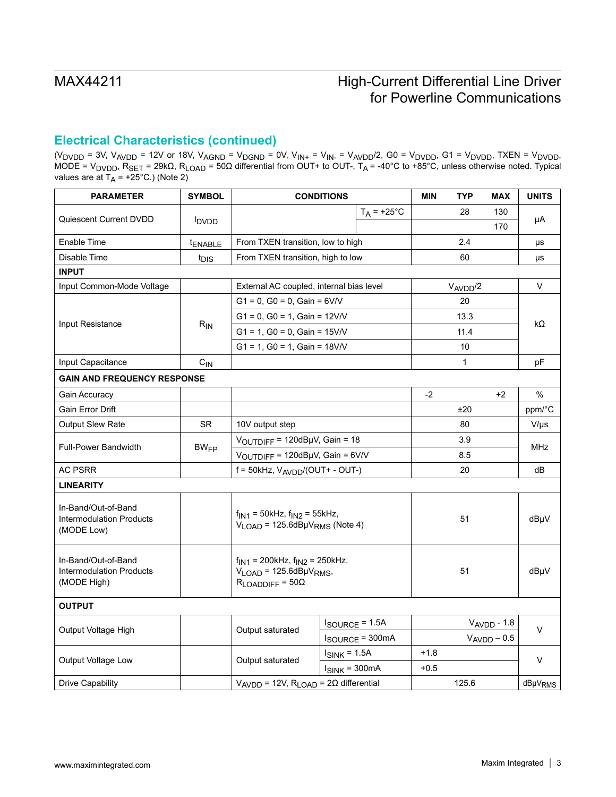## **Electrical Characteristics (continued)**

(V<sub>DVDD</sub> = 3V, V<sub>AVDD</sub> = 12V or 18V, V<sub>AGND</sub> = V<sub>DGND</sub> = 0V, V<sub>IN+</sub> = V<sub>IN-</sub> = V<sub>AVDD</sub>/2, G0 = V<sub>DVDD</sub>, G1 = V<sub>DVDD</sub>, TXEN = V<sub>DVDD</sub>, MODE = V<sub>DVDD</sub>, R<sub>SET</sub> = 29kΩ, R<sub>LOAD</sub> = 50Ω differential from OUT+ to OUT-, T<sub>A</sub> = -40°C to +85°C, unless otherwise noted. Typical values are at T<sub>A</sub> = +25°C.) (Note 2)

| <b>PARAMETER</b>                                                      | <b>SYMBOL</b>            | <b>CONDITIONS</b>                                                                                             |                                 |                            | <b>MIN</b>                          | <b>TYP</b>   | <b>MAX</b>          | <b>UNITS</b>     |        |
|-----------------------------------------------------------------------|--------------------------|---------------------------------------------------------------------------------------------------------------|---------------------------------|----------------------------|-------------------------------------|--------------|---------------------|------------------|--------|
|                                                                       |                          |                                                                                                               |                                 | $T_A$ = +25°C              |                                     | 28           | 130                 |                  |        |
| Quiescent Current DVDD                                                | <b>I</b> <sub>DVDD</sub> |                                                                                                               |                                 |                            |                                     |              | 170                 | μA               |        |
| Enable Time                                                           | tENABLE                  | From TXEN transition, low to high                                                                             |                                 |                            |                                     | 2.4          |                     | μs               |        |
| Disable Time                                                          | t <sub>DIS</sub>         | From TXEN transition, high to low                                                                             |                                 |                            |                                     | 60           |                     | μs               |        |
| <b>INPUT</b>                                                          |                          |                                                                                                               |                                 |                            |                                     |              |                     |                  |        |
| Input Common-Mode Voltage                                             |                          | External AC coupled, internal bias level                                                                      |                                 |                            |                                     | $V_{AVDD}/2$ |                     | $\vee$           |        |
|                                                                       |                          | $G1 = 0$ , $G0 = 0$ , $Gain = 6V/V$                                                                           |                                 |                            |                                     | 20           |                     |                  |        |
|                                                                       |                          | $G1 = 0$ , $G0 = 1$ , $Gain = 12V/V$                                                                          |                                 |                            |                                     | 13.3         |                     | kΩ               |        |
| Input Resistance                                                      | $R_{IN}$                 | $G1 = 1$ , $G0 = 0$ , Gain = 15V/V                                                                            |                                 |                            |                                     | 11.4         |                     |                  |        |
|                                                                       |                          | $G1 = 1$ , $G0 = 1$ , $Gain = 18V/V$                                                                          |                                 |                            |                                     | 10           |                     |                  |        |
| Input Capacitance                                                     | $C_{IN}$                 |                                                                                                               |                                 |                            |                                     | $\mathbf{1}$ |                     | pF               |        |
| <b>GAIN AND FREQUENCY RESPONSE</b>                                    |                          |                                                                                                               |                                 |                            |                                     |              |                     |                  |        |
| Gain Accuracy                                                         |                          |                                                                                                               |                                 |                            | $-2$                                |              | $+2$                | $\%$             |        |
| Gain Error Drift                                                      |                          |                                                                                                               |                                 |                            |                                     | ±20          |                     | ppm/°C           |        |
| Output Slew Rate                                                      | SR                       | 10V output step                                                                                               |                                 |                            |                                     | 80           |                     | $V/\mu s$        |        |
| <b>Full-Power Bandwidth</b>                                           |                          | $V_{\text{OUTDIFF}}$ = 120dBµV, Gain = 18                                                                     |                                 |                            | 3.9                                 |              | MHz                 |                  |        |
|                                                                       | <b>BW<sub>FP</sub></b>   |                                                                                                               | VOUTDIFF = 120dBµV, Gain = 6V/V |                            |                                     | 8.5          |                     |                  |        |
| <b>AC PSRR</b>                                                        |                          | $f = 50$ kHz, $V_{AVDD}/(OUT + - OUT-)$                                                                       |                                 |                            | 20                                  |              | dB                  |                  |        |
| <b>LINEARITY</b>                                                      |                          |                                                                                                               |                                 |                            |                                     |              |                     |                  |        |
| In-Band/Out-of-Band<br><b>Intermodulation Products</b><br>(MODE Low)  |                          | $f_{\text{IN1}}$ = 50kHz, $f_{\text{IN2}}$ = 55kHz,<br>$V_{\text{LOAD}}$ = 125.6dBµ $V_{\text{RMS}}$ (Note 4) |                                 |                            |                                     | 51           |                     | dBµV             |        |
| In-Band/Out-of-Band<br><b>Intermodulation Products</b><br>(MODE High) |                          | $f_{IN1}$ = 200kHz, $f_{IN2}$ = 250kHz,<br>$V_{LOAD}$ = 125.6dBµ $V_{RMS}$ ,<br>$R_{LOADDIFF} = 50\Omega$     |                                 |                            | 51                                  |              | dBµV                |                  |        |
| <b>OUTPUT</b>                                                         |                          |                                                                                                               |                                 |                            |                                     |              |                     |                  |        |
|                                                                       |                          |                                                                                                               |                                 | $I_{\text{SOURCE}} = 1.5A$ |                                     |              | $V_{AVDD}$ - 1.8    |                  |        |
| Output Voltage High                                                   |                          | Output saturated                                                                                              |                                 |                            | $I_{\text{SOURCE}} = 300 \text{mA}$ |              |                     | $V_{AVDD} - 0.5$ | $\vee$ |
|                                                                       |                          | $I_{SINK}$ = 1.5A                                                                                             |                                 |                            | $+1.8$                              |              |                     |                  |        |
| <b>Output Voltage Low</b>                                             |                          | Output saturated                                                                                              | $I_{SINK}$ = 300mA              |                            | $+0.5$                              |              |                     | $\vee$           |        |
| <b>Drive Capability</b>                                               |                          | $V_{AVDD}$ = 12V, $R_{LOAD}$ = 2 $\Omega$ differential                                                        |                                 |                            | 125.6                               |              | dBµV <sub>RMS</sub> |                  |        |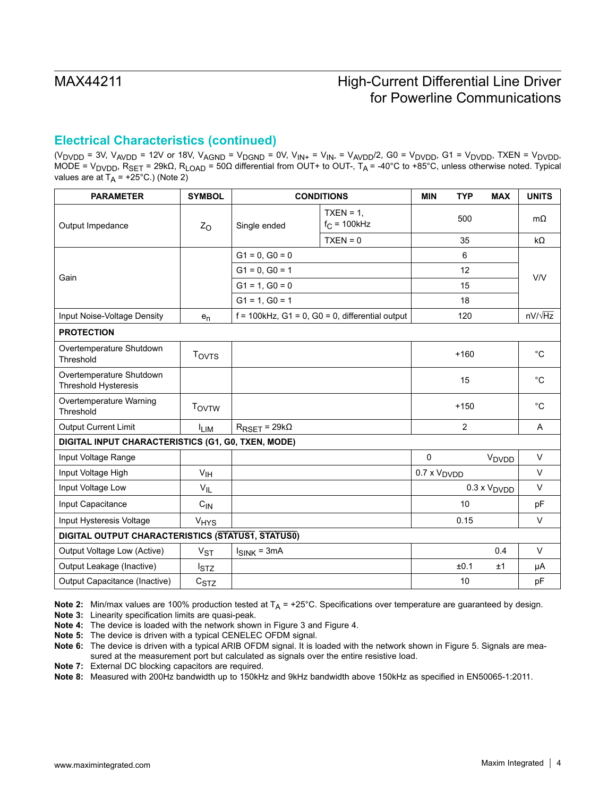### **Electrical Characteristics (continued)**

(V<sub>DVDD</sub> = 3V, V<sub>AVDD</sub> = 12V or 18V, V<sub>AGND</sub> = V<sub>DGND</sub> = 0V, V<sub>IN+</sub> = V<sub>IN-</sub> = V<sub>AVDD</sub>/2, G0 = V<sub>DVDD</sub>, G1 = V<sub>DVDD</sub>, TXEN = V<sub>DVDD</sub>, MODE = V<sub>DVDD</sub>, R<sub>SET</sub> = 29kΩ, R<sub>LOAD</sub> = 50Ω differential from OUT+ to OUT-, T<sub>A</sub> = -40°C to +85°C, unless otherwise noted. Typical values are at  $T_A$  = +25°C.) (Note 2)

| <b>PARAMETER</b>                                        | <b>SYMBOL</b>                                      |                               | <b>CONDITIONS</b>                                  | <b>MIN</b>                   | <b>TYP</b>     | <b>MAX</b>                   | <b>UNITS</b>   |  |
|---------------------------------------------------------|----------------------------------------------------|-------------------------------|----------------------------------------------------|------------------------------|----------------|------------------------------|----------------|--|
| Output Impedance                                        | $Z_{O}$                                            | Single ended                  | $TXEN = 1$ .<br>$f_C = 100$ kHz                    |                              | 500            |                              | $m\Omega$      |  |
|                                                         |                                                    |                               | $TXEN = 0$                                         |                              | 35             |                              | $k\Omega$      |  |
|                                                         |                                                    | $G1 = 0$ , $G0 = 0$           |                                                    |                              | 6              |                              |                |  |
| Gain                                                    |                                                    | $G1 = 0$ , $G0 = 1$           |                                                    |                              | 12             |                              | V/V            |  |
|                                                         |                                                    | $G1 = 1.$ $G0 = 0$            |                                                    |                              | 15             |                              |                |  |
|                                                         |                                                    | $G1 = 1, G0 = 1$              |                                                    |                              | 18             |                              |                |  |
| Input Noise-Voltage Density                             | $e_n$                                              |                               | $f = 100$ kHz, G1 = 0, G0 = 0, differential output |                              | 120            |                              | $nV/\sqrt{Hz}$ |  |
| <b>PROTECTION</b>                                       |                                                    |                               |                                                    |                              |                |                              |                |  |
| Overtemperature Shutdown<br>Threshold                   | <b>TOVTS</b>                                       |                               |                                                    |                              | $+160$         |                              | $^{\circ}C$    |  |
| Overtemperature Shutdown<br><b>Threshold Hysteresis</b> |                                                    |                               |                                                    |                              | 15             |                              | $^{\circ}C$    |  |
| Overtemperature Warning<br>Threshold                    | <b>TOVTW</b>                                       |                               |                                                    |                              | $+150$         |                              | $^{\circ}C$    |  |
| Output Current Limit                                    | <b>ILIM</b>                                        | $R_{\text{RSET}} = 29k\Omega$ |                                                    |                              | $\overline{2}$ |                              | Α              |  |
|                                                         | DIGITAL INPUT CHARACTERISTICS (G1, G0, TXEN, MODE) |                               |                                                    |                              |                |                              |                |  |
| Input Voltage Range                                     |                                                    |                               |                                                    | $\mathbf 0$                  |                | V <sub>DVDD</sub>            | $\vee$         |  |
| Input Voltage High                                      | V <sub>IH</sub>                                    |                               |                                                    | $0.7 \times V_{\text{DVDD}}$ |                |                              | $\vee$         |  |
| Input Voltage Low                                       | $V_{IL}$                                           |                               |                                                    |                              |                | $0.3 \times V_{\text{DVDD}}$ | $\vee$         |  |
| Input Capacitance                                       | $C_{IN}$                                           |                               |                                                    |                              | 10             |                              | pF             |  |
| Input Hysteresis Voltage                                | <b>V<sub>HYS</sub></b>                             |                               |                                                    |                              | 0.15           |                              | $\vee$         |  |
| DIGITAL OUTPUT CHARACTERISTICS (STATUS1, STATUS0)       |                                                    |                               |                                                    |                              |                |                              |                |  |
| Output Voltage Low (Active)                             | $V_{ST}$                                           | $I_{SINK}$ = 3mA              |                                                    |                              |                | 0.4                          | $\vee$         |  |
| Output Leakage (Inactive)                               | <sup>I</sup> STZ                                   |                               |                                                    |                              | ±0.1           | ±1                           | μA             |  |
| Output Capacitance (Inactive)                           | $c_{STZ}$                                          |                               |                                                    |                              | 10             |                              | pF             |  |

**Note 2:** Min/max values are 100% production tested at  $T_A$  = +25°C. Specifications over temperature are guaranteed by design.

**Note 3:** Linearity specification limits are quasi-peak.

**Note 4:** The device is loaded with the network shown in Figure 3 and Figure 4.

**Note 5:** The device is driven with a typical CENELEC OFDM signal.

**Note 7:** External DC blocking capacitors are required.

**Note 8:** Measured with 200Hz bandwidth up to 150kHz and 9kHz bandwidth above 150kHz as specified in EN50065-1:2011.

**Note 6:** The device is driven with a typical ARIB OFDM signal. It is loaded with the network shown in Figure 5. Signals are measured at the measurement port but calculated as signals over the entire resistive load.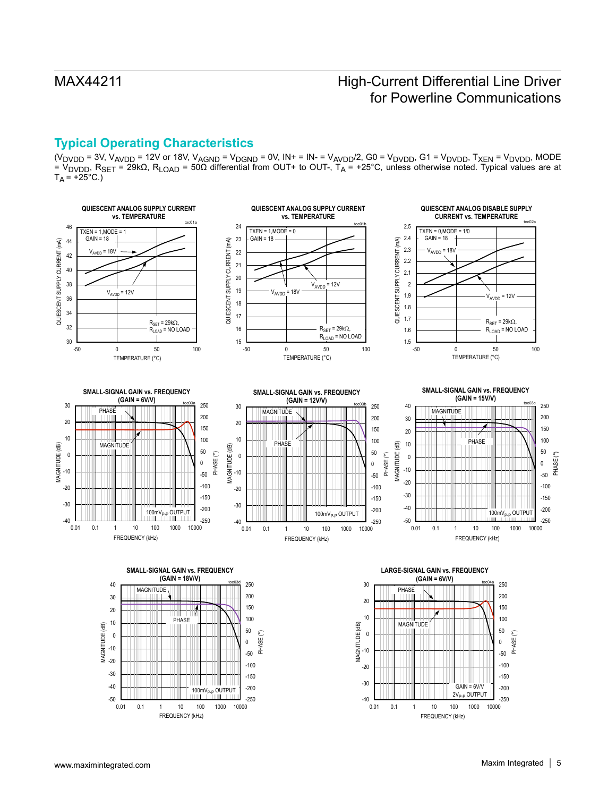## **Typical Operating Characteristics**

(V<sub>DVDD</sub> = 3V, V<sub>AVDD</sub> = 12V or 18V, V<sub>AGND</sub> = V<sub>DGND</sub> = 0V, IN+ = IN- = V<sub>AVDD</sub>/2, G0 = V<sub>DVDD</sub>, G1 = V<sub>DVDD</sub>, T<sub>XEN</sub> = V<sub>DVDD</sub>, MODE = V<sub>DVDD</sub>, R<sub>SET</sub> = 29kΩ, R<sub>LOAD</sub> = 50Ω differential from OUT+ to OUT-, T<sub>A</sub> = +25°C, unless otherwise noted. Typical values are at  $T_A = +25$ °C.)

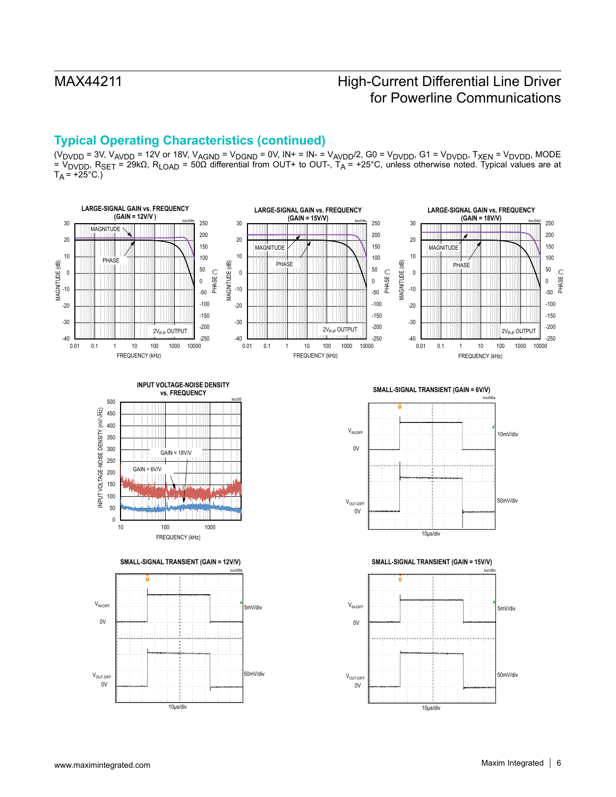## **Typical Operating Characteristics (continued)**

(V<sub>DVDD</sub> = 3V, V<sub>AVDD</sub> = 12V or 18V, V<sub>AGND</sub> = V<sub>DGND</sub> = 0V, IN+ = IN- = V<sub>AVDD</sub>/2, G0 = V<sub>DVDD</sub>, G1 = V<sub>DVDD</sub>, T<sub>XEN</sub> = V<sub>DVDD</sub>, MODE = V<sub>DVDD</sub>, R<sub>SET</sub> = 29kΩ, R<sub>LOAD</sub> = 50Ω differential from OUT+ to OUT-, T<sub>A</sub> = +25°C, unless otherwise noted. Typical values are at  $T_A = +25$ °C.)

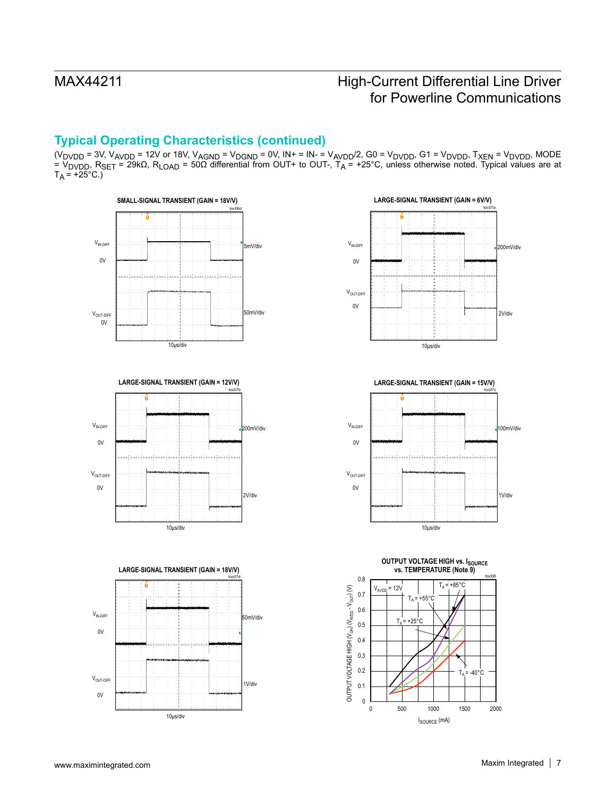## **Typical Operating Characteristics (continued)**

(V<sub>DVDD</sub> = 3V, V<sub>AVDD</sub> = 12V or 18V, V<sub>AGND</sub> = V<sub>DGND</sub> = 0V, IN+ = IN- = V<sub>AVDD</sub>/2, G0 = V<sub>DVDD</sub>, G1 = V<sub>DVDD</sub>, T<sub>XEN</sub> = V<sub>DVDD</sub>, MODE = V<sub>DVDD</sub>, R<sub>SET</sub> = 29kΩ, R<sub>LOAD</sub> = 50Ω differential from OUT+ to OUT-, T<sub>A</sub> = +25°C, unless otherwise noted. Typical values are at  $T_A = +25$ °C.)











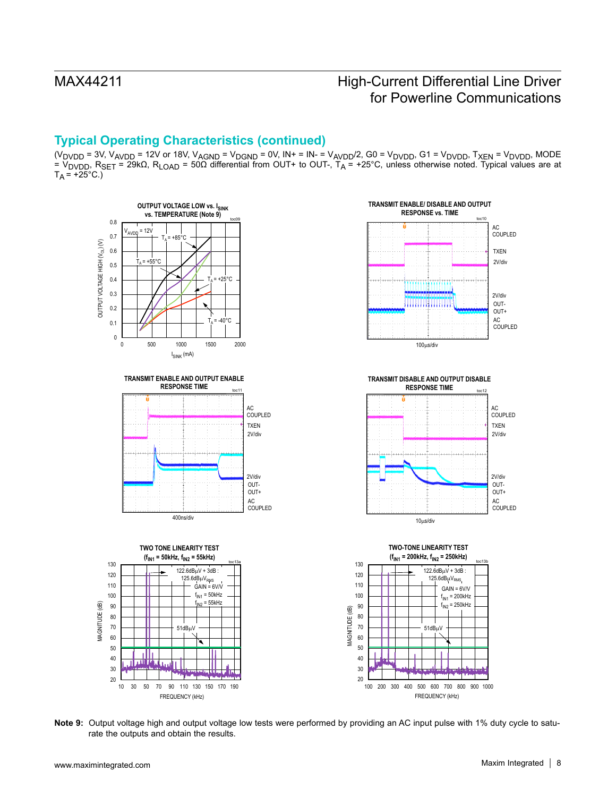## **Typical Operating Characteristics (continued)**

(V<sub>DVDD</sub> = 3V, V<sub>AVDD</sub> = 12V or 18V, V<sub>AGND</sub> = V<sub>DGND</sub> = 0V, IN+ = IN- = V<sub>AVDD</sub>/2, G0 = V<sub>DVDD</sub>, G1 = V<sub>DVDD</sub>, T<sub>XEN</sub> = V<sub>DVDD</sub>, MODE = V<sub>DVDD</sub>, R<sub>SET</sub> = 29kΩ, R<sub>LOAD</sub> = 50Ω differential from OUT+ to OUT-, T<sub>A</sub> = +25°C, unless otherwise noted. Typical values are at  $T_A = +25$ °C.)









**Note 9:** Output voltage high and output voltage low tests were performed by providing an AC input pulse with 1% duty cycle to saturate the outputs and obtain the results.

20 30

10 30 50 70 90 110 130 150 170 190

FREQUENCY (kHz)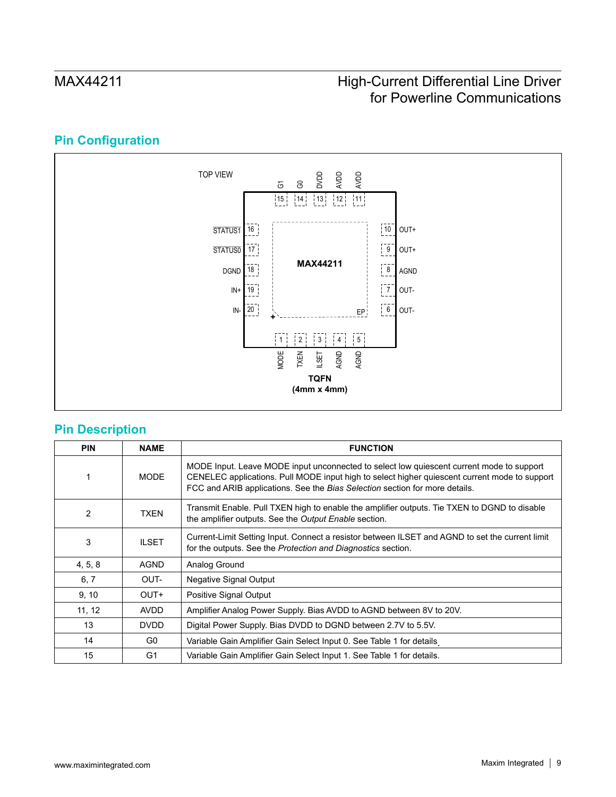## **Pin Configuration**



## **Pin Description**

| <b>PIN</b>     | <b>NAME</b>  | <b>FUNCTION</b>                                                                                                                                                                                                                                                          |
|----------------|--------------|--------------------------------------------------------------------------------------------------------------------------------------------------------------------------------------------------------------------------------------------------------------------------|
|                | <b>MODE</b>  | MODE Input. Leave MODE input unconnected to select low quiescent current mode to support<br>CENELEC applications. Pull MODE input high to select higher quiescent current mode to support<br>FCC and ARIB applications. See the Bias Selection section for more details. |
| $\overline{2}$ | <b>TXEN</b>  | Transmit Enable. Pull TXEN high to enable the amplifier outputs. Tie TXEN to DGND to disable<br>the amplifier outputs. See the Output Enable section.                                                                                                                    |
| 3              | <b>ILSET</b> | Current-Limit Setting Input. Connect a resistor between ILSET and AGND to set the current limit<br>for the outputs. See the Protection and Diagnostics section.                                                                                                          |
| 4, 5, 8        | <b>AGND</b>  | Analog Ground                                                                                                                                                                                                                                                            |
| 6, 7           | OUT-         | <b>Negative Signal Output</b>                                                                                                                                                                                                                                            |
| 9, 10          | OUT+         | Positive Signal Output                                                                                                                                                                                                                                                   |
| 11, 12         | <b>AVDD</b>  | Amplifier Analog Power Supply. Bias AVDD to AGND between 8V to 20V.                                                                                                                                                                                                      |
| 13             | <b>DVDD</b>  | Digital Power Supply. Bias DVDD to DGND between 2.7V to 5.5V.                                                                                                                                                                                                            |
| 14             | G0           | Variable Gain Amplifier Gain Select Input 0. See Table 1 for details                                                                                                                                                                                                     |
| 15             | G1           | Variable Gain Amplifier Gain Select Input 1. See Table 1 for details.                                                                                                                                                                                                    |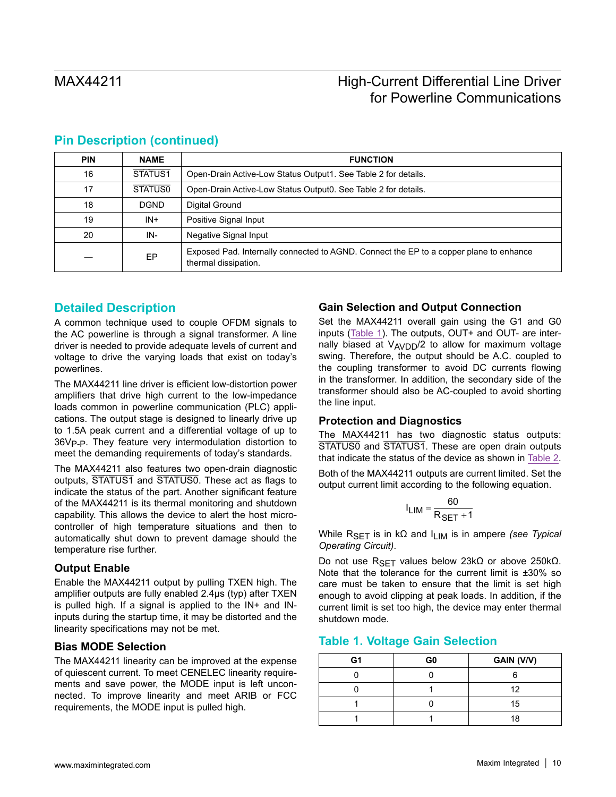| <b>PIN</b> | <b>NAME</b>         | <b>FUNCTION</b>                                                                                                |  |  |  |
|------------|---------------------|----------------------------------------------------------------------------------------------------------------|--|--|--|
| 16         | STATUS <sub>1</sub> | Open-Drain Active-Low Status Output1. See Table 2 for details.                                                 |  |  |  |
| 17         | <b>STATUS0</b>      | Open-Drain Active-Low Status Output0. See Table 2 for details.                                                 |  |  |  |
| 18         | <b>DGND</b>         | Digital Ground                                                                                                 |  |  |  |
| 19         | $IN+$               | Positive Signal Input                                                                                          |  |  |  |
| 20         | IN-                 | Negative Signal Input                                                                                          |  |  |  |
|            | EP                  | Exposed Pad. Internally connected to AGND. Connect the EP to a copper plane to enhance<br>thermal dissipation. |  |  |  |

### **Pin Description (continued)**

### **Detailed Description**

A common technique used to couple OFDM signals to the AC powerline is through a signal transformer. A line driver is needed to provide adequate levels of current and voltage to drive the varying loads that exist on today's powerlines.

The MAX44211 line driver is efficient low-distortion power amplifiers that drive high current to the low-impedance loads common in powerline communication (PLC) applications. The output stage is designed to linearly drive up to 1.5A peak current and a differential voltage of up to 36V<sub>P-P</sub>. They feature very intermodulation distortion to meet the demanding requirements of today's standards.

The MAX44211 also features two open-drain diagnostic outputs, STATUS1 and STATUS0. These act as flags to indicate the status of the part. Another significant feature of the MAX44211 is its thermal monitoring and shutdown capability. This allows the device to alert the host microcontroller of high temperature situations and then to automatically shut down to prevent damage should the temperature rise further.

### **Output Enable**

Enable the MAX44211 output by pulling TXEN high. The amplifier outputs are fully enabled 2.4µs (typ) after TXEN is pulled high. If a signal is applied to the IN+ and INinputs during the startup time, it may be distorted and the linearity specifications may not be met.

### **Bias MODE Selection**

The MAX44211 linearity can be improved at the expense of quiescent current. To meet CENELEC linearity requirements and save power, the MODE input is left unconnected. To improve linearity and meet ARIB or FCC requirements, the MODE input is pulled high.

### **Gain Selection and Output Connection**

Set the MAX44211 overall gain using the G1 and G0 inputs ([Table 1\)](#page-9-0). The outputs, OUT+ and OUT- are internally biased at  $V_{\text{AVDD}}/2$  to allow for maximum voltage swing. Therefore, the output should be A.C. coupled to the coupling transformer to avoid DC currents flowing in the transformer. In addition, the secondary side of the transformer should also be AC-coupled to avoid shorting the line input.

### **Protection and Diagnostics**

The MAX44211 has two diagnostic status outputs: STATUS0 and STATUS1. These are open drain outputs that indicate the status of the device as shown in [Table 2](#page-10-0).

Both of the MAX44211 outputs are current limited. Set the output current limit according to the following equation.

$$
I_{LIM} = \frac{60}{R_{SET} + 1}
$$

While RSET is in kΩ and ILIM is in ampere *(see Typical Operating Circuit)*.

Do not use R<sub>SFT</sub> values below 23kΩ or above 250kΩ. Note that the tolerance for the current limit is *±*30% so care must be taken to ensure that the limit is set high enough to avoid clipping at peak loads. In addition, if the current limit is set too high, the device may enter thermal shutdown mode.

### <span id="page-9-0"></span>**Table 1. Voltage Gain Selection**

| G1 | G <sub>0</sub> | GAIN (V/V) |
|----|----------------|------------|
|    |                |            |
|    |                |            |
|    |                | 15         |
|    |                | Ω          |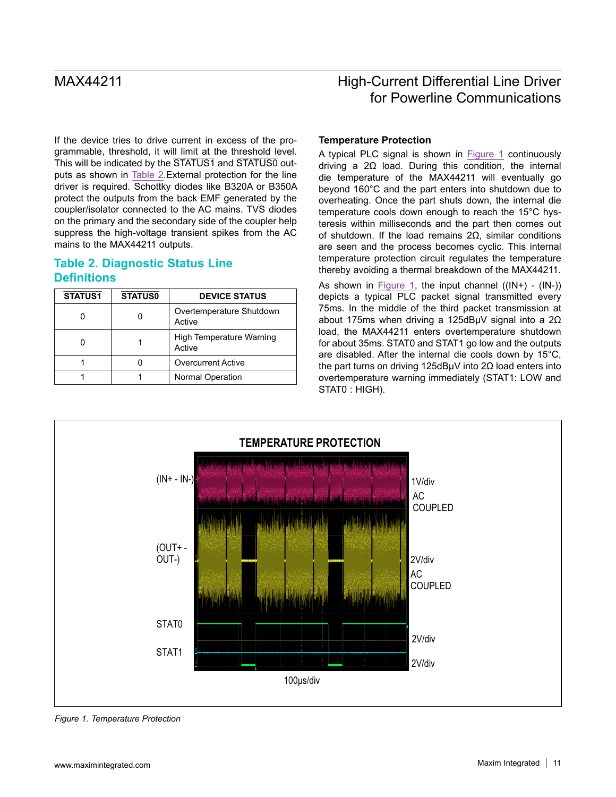If the device tries to drive current in excess of the programmable, threshold, it will limit at the threshold level. This will be indicated by the STATUS1 and STATUS0 outputs as shown in [Table 2.](#page-10-0)External protection for the line driver is required. Schottky diodes like B320A or B350A protect the outputs from the back EMF generated by the coupler/isolator connected to the AC mains. TVS diodes on the primary and the secondary side of the coupler help suppress the high-voltage transient spikes from the AC mains to the MAX44211 outputs.

### <span id="page-10-0"></span>**Table 2. Diagnostic Status Line Definitions**

| <b>STATUS1</b> | <b>STATUS0</b> | <b>DEVICE STATUS</b>               |
|----------------|----------------|------------------------------------|
|                |                | Overtemperature Shutdown<br>Active |
|                |                | High Temperature Warning<br>Active |
|                |                | <b>Overcurrent Active</b>          |
|                |                | <b>Normal Operation</b>            |

# MAX44211 **MAX44211 High-Current Differential Line Driver** for Powerline Communications

### **Temperature Protection**

A typical PLC signal is shown in [Figure 1](#page-10-1) continuously driving a 2Ω load. During this condition, the internal die temperature of the MAX44211 will eventually go beyond 160°C and the part enters into shutdown due to overheating. Once the part shuts down, the internal die temperature cools down enough to reach the 15°C hysteresis within milliseconds and the part then comes out of shutdown. If the load remains 2Ω, similar conditions are seen and the process becomes cyclic. This internal temperature protection circuit regulates the temperature thereby avoiding a thermal breakdown of the MAX44211.

As shown in [Figure 1](#page-10-1), the input channel  $((IN+) - (IN-))$ depicts a typical PLC packet signal transmitted every 75ms. In the middle of the third packet transmission at about 175ms when driving a 125dBµV signal into a 2Ω load, the MAX44211 enters overtemperature shutdown for about 35ms. STAT0 and STAT1 go low and the outputs are disabled. After the internal die cools down by 15°C, the part turns on driving 125dBµV into 2Ω load enters into overtemperature warning immediately (STAT1: LOW and STAT0 : HIGH).

<span id="page-10-1"></span>

*Figure 1. Temperature Protection*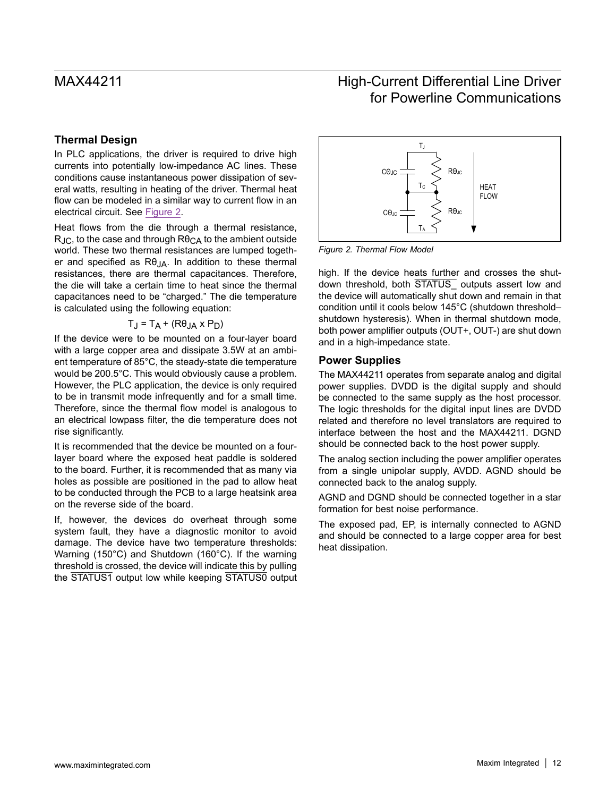### **Thermal Design**

In PLC applications, the driver is required to drive high currents into potentially low-impedance AC lines. These conditions cause instantaneous power dissipation of several watts, resulting in heating of the driver. Thermal heat flow can be modeled in a similar way to current flow in an electrical circuit. See Figure 2.

Heat flows from the die through a thermal resistance,  $R_{JC}$ , to the case and through  $R\theta_{CA}$  to the ambient outside world. These two thermal resistances are lumped together and specified as  $R\theta_{JA}$ . In addition to these thermal resistances, there are thermal capacitances. Therefore, the die will take a certain time to heat since the thermal capacitances need to be "charged." The die temperature is calculated using the following equation:

$$
T_J = T_A + (R\theta_{JA} \times P_D)
$$

If the device were to be mounted on a four-layer board with a large copper area and dissipate 3.5W at an ambient temperature of 85°C, the steady-state die temperature would be 200.5°C. This would obviously cause a problem. However, the PLC application, the device is only required to be in transmit mode infrequently and for a small time. Therefore, since the thermal flow model is analogous to an electrical lowpass filter, the die temperature does not rise significantly.

It is recommended that the device be mounted on a fourlayer board where the exposed heat paddle is soldered to the board. Further, it is recommended that as many via holes as possible are positioned in the pad to allow heat to be conducted through the PCB to a large heatsink area on the reverse side of the board.

If, however, the devices do overheat through some system fault, they have a diagnostic monitor to avoid damage. The device have two temperature thresholds: Warning (150°C) and Shutdown (160°C). If the warning threshold is crossed, the device will indicate this by pulling the STATUS1 output low while keeping STATUS0 output



*Figure 2. Thermal Flow Model*

high. If the device heats further and crosses the shutdown threshold, both STATUS outputs assert low and the device will automatically shut down and remain in that condition until it cools below 145°C (shutdown threshold– shutdown hysteresis). When in thermal shutdown mode, both power amplifier outputs (OUT+, OUT-) are shut down and in a high-impedance state.

### **Power Supplies**

The MAX44211 operates from separate analog and digital power supplies. DVDD is the digital supply and should be connected to the same supply as the host processor. The logic thresholds for the digital input lines are DVDD related and therefore no level translators are required to interface between the host and the MAX44211. DGND should be connected back to the host power supply.

The analog section including the power amplifier operates from a single unipolar supply, AVDD. AGND should be connected back to the analog supply.

AGND and DGND should be connected together in a star formation for best noise performance.

The exposed pad, EP, is internally connected to AGND and should be connected to a large copper area for best heat dissipation.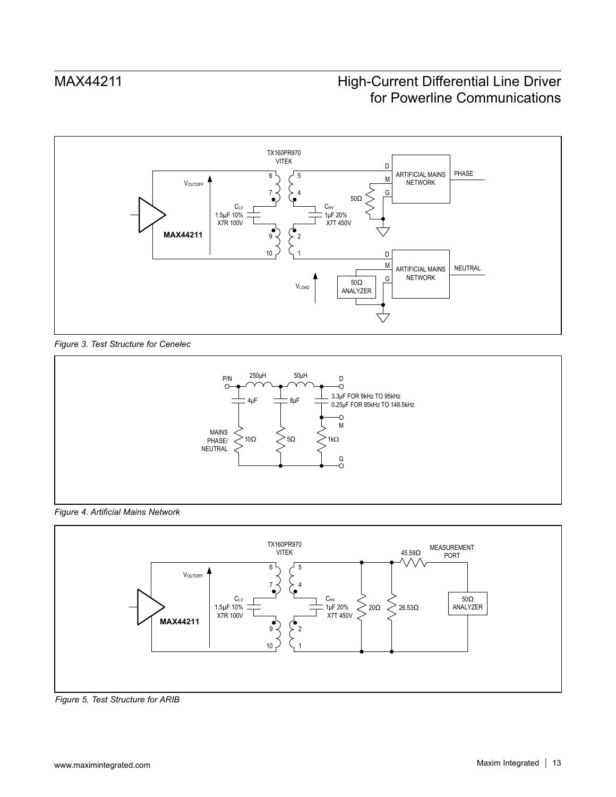

*Figure 3. Test Structure for Cenelec*



*Figure 4. Artificial Mains Network*



*Figure 5. Test Structure for ARIB*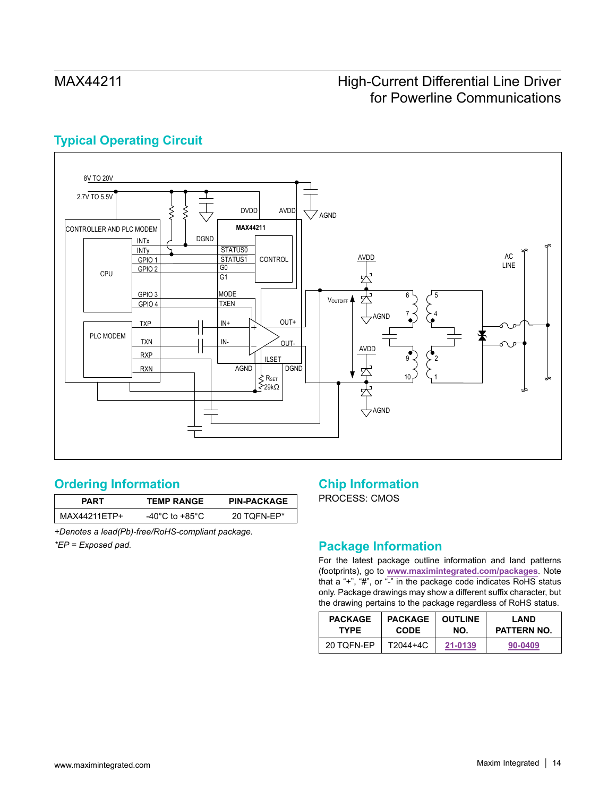## **Typical Operating Circuit**



## <span id="page-13-0"></span>**Ordering Information**

| PART         | <b>TEMP RANGE</b> | <b>PIN-PACKAGE</b> |
|--------------|-------------------|--------------------|
| MAX44211FTP+ | -40°C to +85°C    | 20 TOFN-EP*        |

*+Denotes a lead(Pb)-free/RoHS-compliant package.*

*\*EP = Exposed pad.*

## **Chip Information**

PROCESS: CMOS

## **Package Information**

For the latest package outline information and land patterns (footprints), go to **[www.maximintegrated.com/packages](http://www.maximintegrated.com/packages)**. Note that a "+", "#", or "-" in the package code indicates RoHS status only. Package drawings may show a different suffix character, but the drawing pertains to the package regardless of RoHS status.

| <b>PACKAGE</b> | <b>PACKAGE</b> | <b>OUTLINE</b> | LAND               |  |
|----------------|----------------|----------------|--------------------|--|
| <b>TYPF</b>    | <b>CODE</b>    | NO.            | <b>PATTERN NO.</b> |  |
| 20 TOFN-EP     | T2044+4C       | 21-0139        | 90-0409            |  |